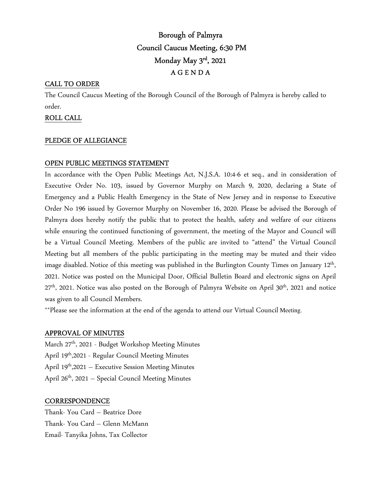# Borough of Palmyra Council Caucus Meeting, 6:30 PM Monday May 3rd , 2021 A G E N D A

# CALL TO ORDER

The Council Caucus Meeting of the Borough Council of the Borough of Palmyra is hereby called to order.

# ROLL CALL

# PLEDGE OF ALLEGIANCE

# OPEN PUBLIC MEETINGS STATEMENT

In accordance with the Open Public Meetings Act, N.J.S.A. 10:4-6 et seq., and in consideration of Executive Order No. 103, issued by Governor Murphy on March 9, 2020, declaring a State of Emergency and a Public Health Emergency in the State of New Jersey and in response to Executive Order No 196 issued by Governor Murphy on November 16, 2020. Please be advised the Borough of Palmyra does hereby notify the public that to protect the health, safety and welfare of our citizens while ensuring the continued functioning of government, the meeting of the Mayor and Council will be a Virtual Council Meeting. Members of the public are invited to "attend" the Virtual Council Meeting but all members of the public participating in the meeting may be muted and their video image disabled. Notice of this meeting was published in the Burlington County Times on January 12<sup>th</sup>, 2021. Notice was posted on the Municipal Door, Official Bulletin Board and electronic signs on April 27<sup>th</sup>, 2021. Notice was also posted on the Borough of Palmyra Website on April 30<sup>th</sup>, 2021 and notice was given to all Council Members.

\*\*Please see the information at the end of the agenda to attend our Virtual Council Meeting.

# APPROVAL OF MINUTES

March 27th, 2021 - Budget Workshop Meeting Minutes April 19th,2021 - Regular Council Meeting Minutes April 19<sup>th</sup>,2021 – Executive Session Meeting Minutes April 26<sup>th</sup>, 2021 – Special Council Meeting Minutes

# **CORRESPONDENCE**

Thank- You Card – Beatrice Dore Thank- You Card – Glenn McMann Email- Tanyika Johns, Tax Collector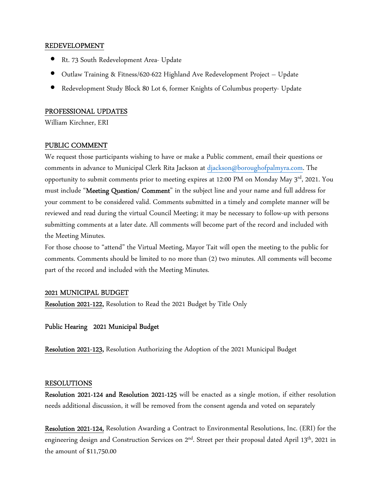#### REDEVELOPMENT

- Rt. 73 South Redevelopment Area- Update
- Outlaw Training & Fitness/620-622 Highland Ave Redevelopment Project Update
- Redevelopment Study Block 80 Lot 6, former Knights of Columbus property- Update

#### PROFESSIONAL UPDATES

William Kirchner, ERI

# PUBLIC COMMENT

We request those participants wishing to have or make a Public comment, email their questions or comments in advance to Municipal Clerk Rita Jackson at djackson@boroughofpalmyra.com. The opportunity to submit comments prior to meeting expires at 12:00 PM on Monday May  $3<sup>rd</sup>$ , 2021. You must include "Meeting Question/ Comment" in the subject line and your name and full address for your comment to be considered valid. Comments submitted in a timely and complete manner will be reviewed and read during the virtual Council Meeting; it may be necessary to follow-up with persons submitting comments at a later date. All comments will become part of the record and included with the Meeting Minutes.

For those choose to "attend" the Virtual Meeting, Mayor Tait will open the meeting to the public for comments. Comments should be limited to no more than (2) two minutes. All comments will become part of the record and included with the Meeting Minutes.

# 2021 MUNICIPAL BUDGET

Resolution 2021-122, Resolution to Read the 2021 Budget by Title Only

Public Hearing 2021 Municipal Budget

Resolution 2021-123, Resolution Authorizing the Adoption of the 2021 Municipal Budget

#### RESOLUTIONS

Resolution 2021-124 and Resolution 2021-125 will be enacted as a single motion, if either resolution needs additional discussion, it will be removed from the consent agenda and voted on separately

Resolution 2021-124, Resolution Awarding a Contract to Environmental Resolutions, Inc. (ERI) for the engineering design and Construction Services on 2<sup>nd</sup>. Street per their proposal dated April 13<sup>th</sup>, 2021 in the amount of \$11,750.00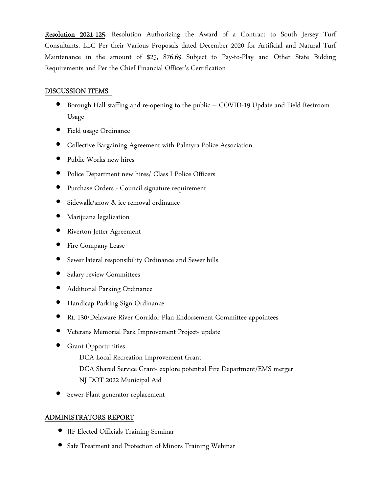Resolution 2021-125, Resolution Authorizing the Award of a Contract to South Jersey Turf Consultants. LLC Per their Various Proposals dated December 2020 for Artificial and Natural Turf Maintenance in the amount of \$25, 876.69 Subject to Pay-to-Play and Other State Bidding Requirements and Per the Chief Financial Officer's Certification

#### DISCUSSION ITEMS

- Borough Hall staffing and re-opening to the public COVID-19 Update and Field Restroom Usage
- Field usage Ordinance
- Collective Bargaining Agreement with Palmyra Police Association
- Public Works new hires
- Police Department new hires/ Class I Police Officers
- Purchase Orders Council signature requirement
- Sidewalk/snow & ice removal ordinance
- Marijuana legalization
- Riverton Jetter Agreement
- Fire Company Lease
- Sewer lateral responsibility Ordinance and Sewer bills
- Salary review Committees
- Additional Parking Ordinance
- Handicap Parking Sign Ordinance
- Rt. 130/Delaware River Corridor Plan Endorsement Committee appointees
- Veterans Memorial Park Improvement Project- update
- **Grant Opportunities** 
	- DCA Local Recreation Improvement Grant
	- DCA Shared Service Grant- explore potential Fire Department/EMS merger NJ DOT 2022 Municipal Aid
- Sewer Plant generator replacement

# ADMINISTRATORS REPORT

- JIF Elected Officials Training Seminar
- Safe Treatment and Protection of Minors Training Webinar